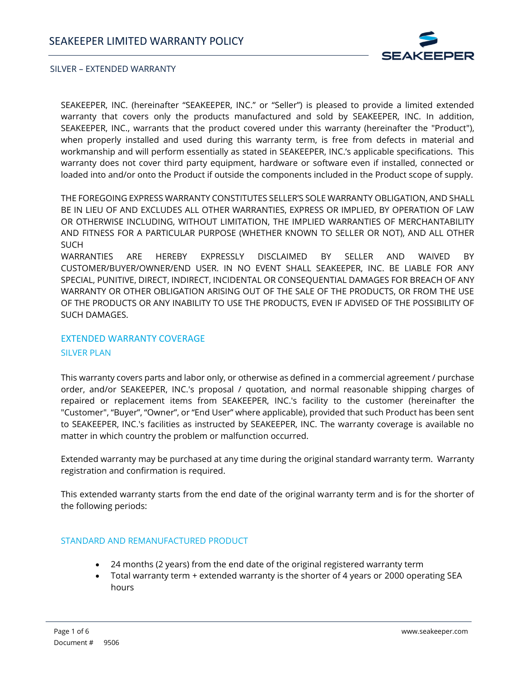

SEAKEEPER, INC. (hereinafter "SEAKEEPER, INC." or "Seller") is pleased to provide a limited extended warranty that covers only the products manufactured and sold by SEAKEEPER, INC. In addition, SEAKEEPER, INC., warrants that the product covered under this warranty (hereinafter the "Product"), when properly installed and used during this warranty term, is free from defects in material and workmanship and will perform essentially as stated in SEAKEEPER, INC.'s applicable specifications. This warranty does not cover third party equipment, hardware or software even if installed, connected or loaded into and/or onto the Product if outside the components included in the Product scope of supply.

THE FOREGOING EXPRESS WARRANTY CONSTITUTES SELLER'S SOLE WARRANTY OBLIGATION, AND SHALL BE IN LIEU OF AND EXCLUDES ALL OTHER WARRANTIES, EXPRESS OR IMPLIED, BY OPERATION OF LAW OR OTHERWISE INCLUDING, WITHOUT LIMITATION, THE IMPLIED WARRANTIES OF MERCHANTABILITY AND FITNESS FOR A PARTICULAR PURPOSE (WHETHER KNOWN TO SELLER OR NOT), AND ALL OTHER **SUCH** 

WARRANTIES ARE HEREBY EXPRESSLY DISCLAIMED BY SELLER AND WAIVED BY CUSTOMER/BUYER/OWNER/END USER. IN NO EVENT SHALL SEAKEEPER, INC. BE LIABLE FOR ANY SPECIAL, PUNITIVE, DIRECT, INDIRECT, INCIDENTAL OR CONSEQUENTIAL DAMAGES FOR BREACH OF ANY WARRANTY OR OTHER OBLIGATION ARISING OUT OF THE SALE OF THE PRODUCTS, OR FROM THE USE OF THE PRODUCTS OR ANY INABILITY TO USE THE PRODUCTS, EVEN IF ADVISED OF THE POSSIBILITY OF SUCH DAMAGES.

### EXTENDED WARRANTY COVERAGE

## SILVER PLAN

This warranty covers parts and labor only, or otherwise as defined in a commercial agreement / purchase order, and/or SEAKEEPER, INC.'s proposal / quotation, and normal reasonable shipping charges of repaired or replacement items from SEAKEEPER, INC.'s facility to the customer (hereinafter the "Customer", "Buyer", "Owner", or "End User" where applicable), provided that such Product has been sent to SEAKEEPER, INC.'s facilities as instructed by SEAKEEPER, INC. The warranty coverage is available no matter in which country the problem or malfunction occurred.

Extended warranty may be purchased at any time during the original standard warranty term. Warranty registration and confirmation is required.

This extended warranty starts from the end date of the original warranty term and is for the shorter of the following periods:

#### STANDARD AND REMANUFACTURED PRODUCT

- 24 months (2 years) from the end date of the original registered warranty term
- Total warranty term + extended warranty is the shorter of 4 years or 2000 operating SEA hours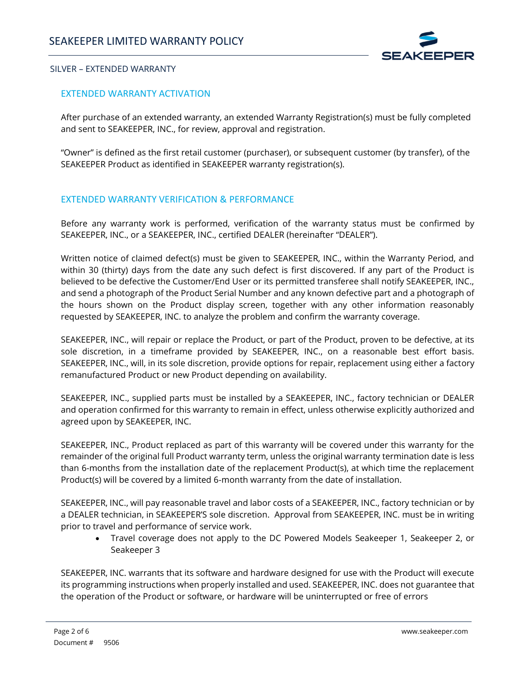

## EXTENDED WARRANTY ACTIVATION

After purchase of an extended warranty, an extended Warranty Registration(s) must be fully completed and sent to SEAKEEPER, INC., for review, approval and registration.

"Owner" is defined as the first retail customer (purchaser), or subsequent customer (by transfer), of the SEAKEEPER Product as identified in SEAKEEPER warranty registration(s).

## EXTENDED WARRANTY VERIFICATION & PERFORMANCE

Before any warranty work is performed, verification of the warranty status must be confirmed by SEAKEEPER, INC., or a SEAKEEPER, INC., certified DEALER (hereinafter "DEALER").

Written notice of claimed defect(s) must be given to SEAKEEPER, INC., within the Warranty Period, and within 30 (thirty) days from the date any such defect is first discovered. If any part of the Product is believed to be defective the Customer/End User or its permitted transferee shall notify SEAKEEPER, INC., and send a photograph of the Product Serial Number and any known defective part and a photograph of the hours shown on the Product display screen, together with any other information reasonably requested by SEAKEEPER, INC. to analyze the problem and confirm the warranty coverage.

SEAKEEPER, INC., will repair or replace the Product, or part of the Product, proven to be defective, at its sole discretion, in a timeframe provided by SEAKEEPER, INC., on a reasonable best effort basis. SEAKEEPER, INC., will, in its sole discretion, provide options for repair, replacement using either a factory remanufactured Product or new Product depending on availability.

SEAKEEPER, INC., supplied parts must be installed by a SEAKEEPER, INC., factory technician or DEALER and operation confirmed for this warranty to remain in effect, unless otherwise explicitly authorized and agreed upon by SEAKEEPER, INC.

SEAKEEPER, INC., Product replaced as part of this warranty will be covered under this warranty for the remainder of the original full Product warranty term, unless the original warranty termination date is less than 6-months from the installation date of the replacement Product(s), at which time the replacement Product(s) will be covered by a limited 6-month warranty from the date of installation.

SEAKEEPER, INC., will pay reasonable travel and labor costs of a SEAKEEPER, INC., factory technician or by a DEALER technician, in SEAKEEPER'S sole discretion. Approval from SEAKEEPER, INC. must be in writing prior to travel and performance of service work.

• Travel coverage does not apply to the DC Powered Models Seakeeper 1, Seakeeper 2, or Seakeeper 3

SEAKEEPER, INC. warrants that its software and hardware designed for use with the Product will execute its programming instructions when properly installed and used. SEAKEEPER, INC. does not guarantee that the operation of the Product or software, or hardware will be uninterrupted or free of errors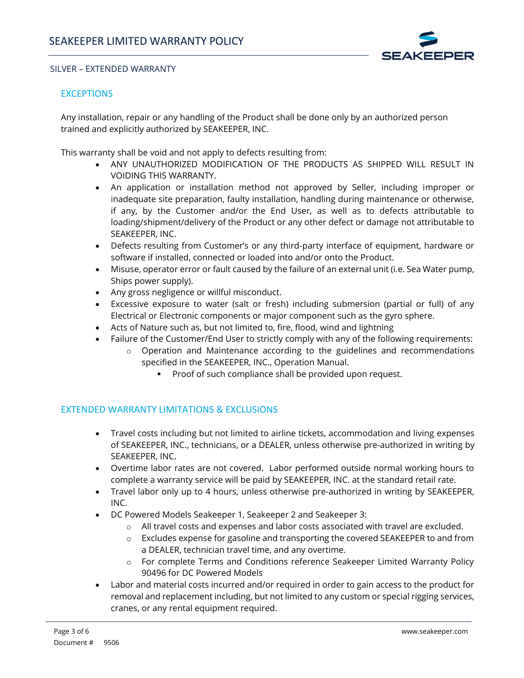

# **EXCEPTIONS**

Any installation, repair or any handling of the Product shall be done only by an authorized person trained and explicitly authorized by SEAKEEPER, INC.

This warranty shall be void and not apply to defects resulting from:

- ANY UNAUTHORIZED MODIFICATION OF THE PRODUCTS AS SHIPPED WILL RESULT IN VOIDING THIS WARRANTY.
- An application or installation method not approved by Seller, including improper or inadequate site preparation, faulty installation, handling during maintenance or otherwise, if any, by the Customer and/or the End User, as well as to defects attributable to loading/shipment/delivery of the Product or any other defect or damage not attributable to SEAKEEPER, INC.
- Defects resulting from Customer's or any third-party interface of equipment, hardware or software if installed, connected or loaded into and/or onto the Product.
- Misuse, operator error or fault caused by the failure of an external unit (i.e. Sea Water pump, Ships power supply).
- Any gross negligence or willful misconduct.
- Excessive exposure to water (salt or fresh) including submersion (partial or full) of any Electrical or Electronic components or major component such as the gyro sphere.
- Acts of Nature such as, but not limited to, fire, flood, wind and lightning
- Failure of the Customer/End User to strictly comply with any of the following requirements:
	- $\circ$  Operation and Maintenance according to the guidelines and recommendations specified in the SEAKEEPER, INC., Operation Manual.
		- Proof of such compliance shall be provided upon request.

## EXTENDED WARRANTY LIMITATIONS & EXCLUSIONS

- Travel costs including but not limited to airline tickets, accommodation and living expenses of SEAKEEPER, INC., technicians, or a DEALER, unless otherwise pre-authorized in writing by SEAKEEPER, INC.
- Overtime labor rates are not covered. Labor performed outside normal working hours to complete a warranty service will be paid by SEAKEEPER, INC. at the standard retail rate.
- Travel labor only up to 4 hours, unless otherwise pre-authorized in writing by SEAKEEPER, INC.
- DC Powered Models Seakeeper 1, Seakeeper 2 and Seakeeper 3:
	- o All travel costs and expenses and labor costs associated with travel are excluded.
	- o Excludes expense for gasoline and transporting the covered SEAKEEPER to and from a DEALER, technician travel time, and any overtime.
	- o For complete Terms and Conditions reference Seakeeper Limited Warranty Policy 90496 for DC Powered Models
- Labor and material costs incurred and/or required in order to gain access to the product for removal and replacement including, but not limited to any custom or special rigging services, cranes, or any rental equipment required.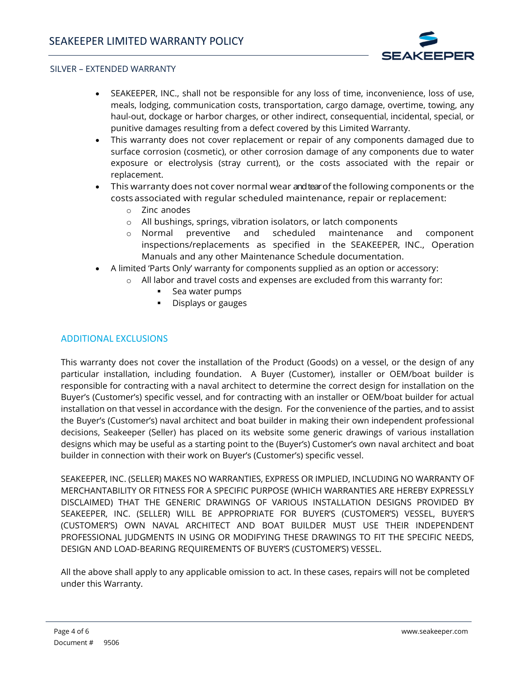

- SEAKEEPER, INC., shall not be responsible for any loss of time, inconvenience, loss of use, meals, lodging, communication costs, transportation, cargo damage, overtime, towing, any haul-out, dockage or harbor charges, or other indirect, consequential, incidental, special, or punitive damages resulting from a defect covered by this Limited Warranty.
- This warranty does not cover replacement or repair of any components damaged due to surface corrosion (cosmetic), or other corrosion damage of any components due to water exposure or electrolysis (stray current), or the costs associated with the repair or replacement.
- This warranty does not cover normal wear and tear of the following components or the costs associated with regular scheduled maintenance, repair or replacement:
	- o Zinc anodes
	- o All bushings, springs, vibration isolators, or latch components
	- o Normal preventive and scheduled maintenance and component inspections/replacements as specified in the SEAKEEPER, INC., Operation Manuals and any other Maintenance Schedule documentation.
- A limited 'Parts Only' warranty for components supplied as an option or accessory:
	- o All labor and travel costs and expenses are excluded from this warranty for:
		- Sea water pumps
		- Displays or gauges

## ADDITIONAL EXCLUSIONS

This warranty does not cover the installation of the Product (Goods) on a vessel, or the design of any particular installation, including foundation. A Buyer (Customer), installer or OEM/boat builder is responsible for contracting with a naval architect to determine the correct design for installation on the Buyer's (Customer's) specific vessel, and for contracting with an installer or OEM/boat builder for actual installation on that vessel in accordance with the design. For the convenience of the parties, and to assist the Buyer's (Customer's) naval architect and boat builder in making their own independent professional decisions, Seakeeper (Seller) has placed on its website some generic drawings of various installation designs which may be useful as a starting point to the (Buyer's) Customer's own naval architect and boat builder in connection with their work on Buyer's (Customer's) specific vessel.

SEAKEEPER, INC. (SELLER) MAKES NO WARRANTIES, EXPRESS OR IMPLIED, INCLUDING NO WARRANTY OF MERCHANTABILITY OR FITNESS FOR A SPECIFIC PURPOSE (WHICH WARRANTIES ARE HEREBY EXPRESSLY DISCLAIMED) THAT THE GENERIC DRAWINGS OF VARIOUS INSTALLATION DESIGNS PROVIDED BY SEAKEEPER, INC. (SELLER) WILL BE APPROPRIATE FOR BUYER'S (CUSTOMER'S) VESSEL, BUYER'S (CUSTOMER'S) OWN NAVAL ARCHITECT AND BOAT BUILDER MUST USE THEIR INDEPENDENT PROFESSIONAL JUDGMENTS IN USING OR MODIFYING THESE DRAWINGS TO FIT THE SPECIFIC NEEDS, DESIGN AND LOAD-BEARING REQUIREMENTS OF BUYER'S (CUSTOMER'S) VESSEL.

All the above shall apply to any applicable omission to act. In these cases, repairs will not be completed under this Warranty.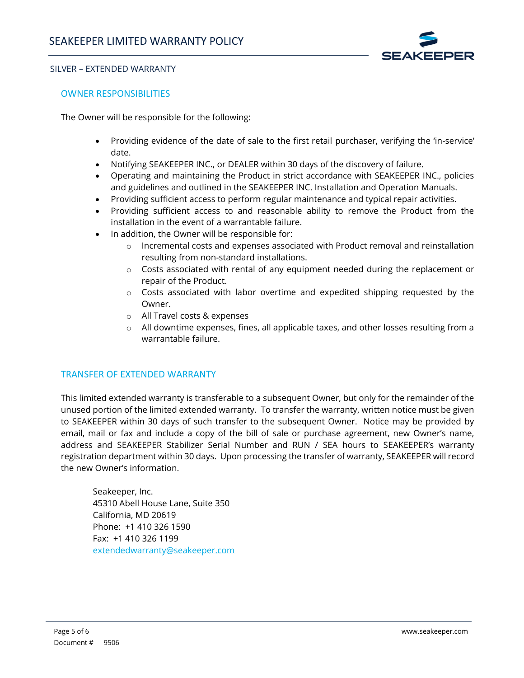

## OWNER RESPONSIBILITIES

The Owner will be responsible for the following:

- Providing evidence of the date of sale to the first retail purchaser, verifying the 'in-service' date.
- Notifying SEAKEEPER INC., or DEALER within 30 days of the discovery of failure.
- Operating and maintaining the Product in strict accordance with SEAKEEPER INC., policies and guidelines and outlined in the SEAKEEPER INC. Installation and Operation Manuals.
- Providing sufficient access to perform regular maintenance and typical repair activities.
- Providing sufficient access to and reasonable ability to remove the Product from the installation in the event of a warrantable failure.
- In addition, the Owner will be responsible for:
	- $\circ$  Incremental costs and expenses associated with Product removal and reinstallation resulting from non-standard installations.
	- $\circ$  Costs associated with rental of any equipment needed during the replacement or repair of the Product.
	- o Costs associated with labor overtime and expedited shipping requested by the Owner.
	- o All Travel costs & expenses
	- $\circ$  All downtime expenses, fines, all applicable taxes, and other losses resulting from a warrantable failure.

## TRANSFER OF EXTENDED WARRANTY

This limited extended warranty is transferable to a subsequent Owner, but only for the remainder of the unused portion of the limited extended warranty. To transfer the warranty, written notice must be given to SEAKEEPER within 30 days of such transfer to the subsequent Owner. Notice may be provided by email, mail or fax and include a copy of the bill of sale or purchase agreement, new Owner's name, address and SEAKEEPER Stabilizer Serial Number and RUN / SEA hours to SEAKEEPER's warranty registration department within 30 days. Upon processing the transfer of warranty, SEAKEEPER will record the new Owner's information.

Seakeeper, Inc. 45310 Abell House Lane, Suite 350 California, MD 20619 Phone: +1 410 326 1590 Fax: +1 410 326 1199 [extendedwarranty@seakeeper.com](mailto:extendedwarranty@seakeeper.com)